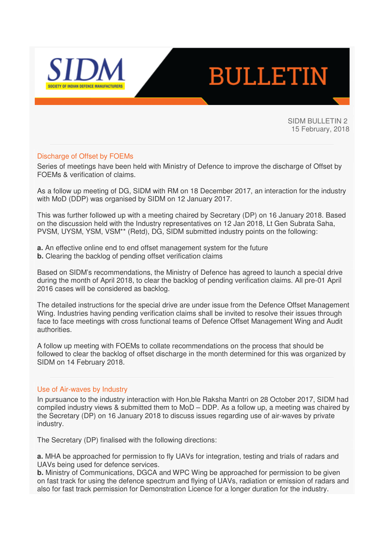

# **BULLETIN**

SIDM BULLETIN 2 15 February, 2018

## Discharge of Offset by FOEMs

Series of meetings have been held with Ministry of Defence to improve the discharge of Offset by FOEMs & verification of claims.

As a follow up meeting of DG, SIDM with RM on 18 December 2017, an interaction for the industry with MoD (DDP) was organised by SIDM on 12 January 2017.

This was further followed up with a meeting chaired by Secretary (DP) on 16 January 2018. Based on the discussion held with the Industry representatives on 12 Jan 2018, Lt Gen Subrata Saha, PVSM, UYSM, YSM, VSM\*\* (Retd), DG, SIDM submitted industry points on the following:

- **a.** An effective online end to end offset management system for the future
- **b.** Clearing the backlog of pending offset verification claims

Based on SIDM's recommendations, the Ministry of Defence has agreed to launch a special drive during the month of April 2018, to clear the backlog of pending verification claims. All pre-01 April 2016 cases will be considered as backlog.

The detailed instructions for the special drive are under issue from the Defence Offset Management Wing. Industries having pending verification claims shall be invited to resolve their issues through face to face meetings with cross functional teams of Defence Offset Management Wing and Audit authorities.

A follow up meeting with FOEMs to collate recommendations on the process that should be followed to clear the backlog of offset discharge in the month determined for this was organized by SIDM on 14 February 2018.

#### Use of Air-waves by Industry

In pursuance to the industry interaction with Hon,ble Raksha Mantri on 28 October 2017, SIDM had compiled industry views & submitted them to MoD – DDP. As a follow up, a meeting was chaired by the Secretary (DP) on 16 January 2018 to discuss issues regarding use of air-waves by private industry.

The Secretary (DP) finalised with the following directions:

**a.** MHA be approached for permission to fly UAVs for integration, testing and trials of radars and UAVs being used for defence services.

**b.** Ministry of Communications, DGCA and WPC Wing be approached for permission to be given on fast track for using the defence spectrum and flying of UAVs, radiation or emission of radars and also for fast track permission for Demonstration Licence for a longer duration for the industry.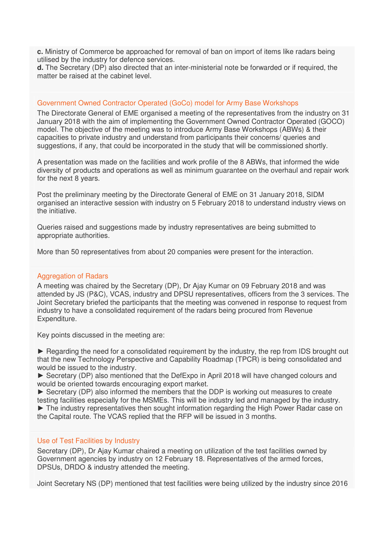**c.** Ministry of Commerce be approached for removal of ban on import of items like radars being utilised by the industry for defence services.

**d.** The Secretary (DP) also directed that an inter-ministerial note be forwarded or if required, the matter be raised at the cabinet level.

#### Government Owned Contractor Operated (GoCo) model for Army Base Workshops

The Directorate General of EME organised a meeting of the representatives from the industry on 31 January 2018 with the aim of implementing the Government Owned Contractor Operated (GOCO) model. The objective of the meeting was to introduce Army Base Workshops (ABWs) & their capacities to private industry and understand from participants their concerns/ queries and suggestions, if any, that could be incorporated in the study that will be commissioned shortly.

A presentation was made on the facilities and work profile of the 8 ABWs, that informed the wide diversity of products and operations as well as minimum guarantee on the overhaul and repair work for the next 8 years.

Post the preliminary meeting by the Directorate General of EME on 31 January 2018, SIDM organised an interactive session with industry on 5 February 2018 to understand industry views on the initiative.

Queries raised and suggestions made by industry representatives are being submitted to appropriate authorities.

More than 50 representatives from about 20 companies were present for the interaction.

#### Aggregation of Radars

A meeting was chaired by the Secretary (DP), Dr Ajay Kumar on 09 February 2018 and was attended by JS (P&C), VCAS, industry and DPSU representatives, officers from the 3 services. The Joint Secretary briefed the participants that the meeting was convened in response to request from industry to have a consolidated requirement of the radars being procured from Revenue Expenditure.

Key points discussed in the meeting are:

► Regarding the need for a consolidated requirement by the industry, the rep from IDS brought out that the new Technology Perspective and Capability Roadmap (TPCR) is being consolidated and would be issued to the industry.

► Secretary (DP) also mentioned that the DefExpo in April 2018 will have changed colours and would be oriented towards encouraging export market.

► Secretary (DP) also informed the members that the DDP is working out measures to create testing facilities especially for the MSMEs. This will be industry led and managed by the industry. ► The industry representatives then sought information regarding the High Power Radar case on the Capital route. The VCAS replied that the RFP will be issued in 3 months.

## Use of Test Facilities by Industry

Secretary (DP), Dr Ajay Kumar chaired a meeting on utilization of the test facilities owned by Government agencies by industry on 12 February 18. Representatives of the armed forces, DPSUs, DRDO & industry attended the meeting.

Joint Secretary NS (DP) mentioned that test facilities were being utilized by the industry since 2016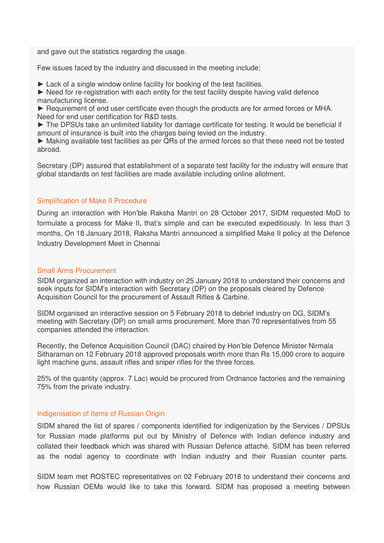and gave out the statistics regarding the usage.

Few issues faced by the industry and discussed in the meeting include:

► Lack of a single window online facility for booking of the test facilities.

► Need for re-registration with each entity for the test facility despite having valid defence manufacturing license.

► Requirement of end user certificate even though the products are for armed forces or MHA. Need for end user certification for R&D tests.

► The DPSUs take an unlimited liability for damage certificate for testing. It would be beneficial if amount of insurance is built into the charges being levied on the industry.

► Making available test facilities as per QRs of the armed forces so that these need not be tested abroad.

Secretary (DP) assured that establishment of a separate test facility for the industry will ensure that global standards on test facilities are made available including online allotment.

## Simplification of Make II Procedure

During an interaction with Hon'ble Raksha Mantri on 28 October 2017, SIDM requested MoD to formulate a process for Make II, that's simple and can be executed expeditiously. In less than 3 months, On 18 January 2018, Raksha Mantri announced a simplified Make II policy at the Defence Industry Development Meet in Chennai

### Small Arms Procurement

SIDM organized an interaction with industry on 25 January 2018 to understand their concerns and seek inputs for SIDM's interaction with Secretary (DP) on the proposals cleared by Defence Acquisition Council for the procurement of Assault Rifles & Carbine.

SIDM organised an interactive session on 5 February 2018 to debrief industry on DG, SIDM's meeting with Secretary (DP) on small arms procurement. More than 70 representatives from 55 companies attended the interaction.

Recently, the Defence Acquisition Council (DAC) chaired by Hon'ble Defence Minister Nirmala Sitharaman on 12 February 2018 approved proposals worth more than Rs 15,000 crore to acquire light machine guns, assault rifles and sniper rifles for the three forces.

25% of the quantity (approx. 7 Lac) would be procured from Ordnance factories and the remaining 75% from the private industry.

# Indigenisation of Items of Russian Origin

SIDM shared the list of spares / components identified for indigenization by the Services / DPSUs for Russian made platforms put out by Ministry of Defence with Indian defence industry and collated their feedback which was shared with Russian Defence attaché. SIDM has been referred as the nodal agency to coordinate with Indian industry and their Russian counter parts.

SIDM team met ROSTEC representatives on 02 February 2018 to understand their concerns and how Russian OEMs would like to take this forward. SIDM has proposed a meeting between